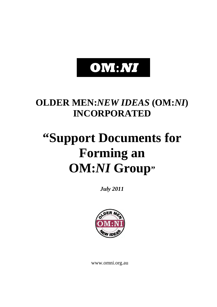# **OM:NI**

# **OLDER MEN:***NEW IDEAS* **(OM:***NI***) INCORPORATED**

# **"Support Documents for Forming an OM:***NI* **Group"**

*July 2011*



www.omni.org.au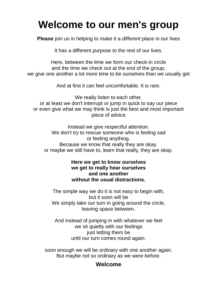# **Welcome to our men's group**

**Please** join us in helping to make it a *different* place in our lives

It has a different purpose to the rest of our lives.

Here, between the time we form our check-in circle and the time we check out at the end of the group, we give one another a lot more time to be ourselves than we usually get

And at first it can feel uncomfortable. It is rare.

We really listen to each other. or at least we don't interrupt or jump in quick to say our piece or even give what we may think is just the best and most important piece of advice

Instead we give respectful attention. We don't try to rescue someone who is feeling sad or feeling anything. Because we know that really they are okay. or maybe we still have to, learn that really, they are okay.

# **Here we get to know ourselves we get to really hear ourselves and one another without the usual distractions.**

The simple way we do it is not easy to begin with, but it soon will be We simply take our turn in going around the circle, leaving space between.

And instead of jumping in with whatever we feel we sit quietly with our feelings just Ietting them be until our turn comes round again.

soon enough we will be ordinary with one another again. But maybe not so ordinary as we were before.

# **Welcome**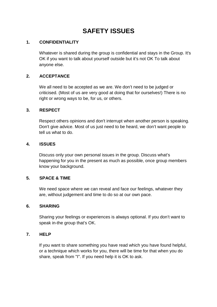# **SAFETY ISSUES**

#### **1. CONFIDENTIALITY**

Whatever is shared during the group is confidential and stays in the Group. It's OK if you want to talk about yourself outside but it's not OK To talk about anyone else.

#### **2. ACCEPTANCE**

We all need to be accepted as we are. We don't need to be judged or criticised. (Most of us are very good at doing that for ourselves!) There is no right or wrong ways to be, for us, or others.

#### **3. RESPECT**

Respect others opinions and don't interrupt when another person is speaking. Don't give advice. Most of us just need to be heard, we don't want people to tell us what to do.

#### **4. ISSUES**

Discuss only your own personal issues in the group. Discuss what's happening for you in the present as much as possible, once group members know your background.

#### **5. SPACE & TIME**

We need space where we can reveal and face our feelings, whatever they are, without judgement and time to do so at our own pace.

#### **6. SHARING**

Sharing your feelings or experiences is always optional. If you don't want to speak in-the group that's OK.

#### **7. HELP**

If you want to share something you have read which you have found helpful, or a technique which works for you, there will be time for that when you do share, speak from "I". If you need help it is OK to ask.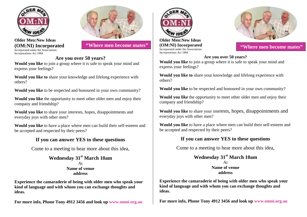





**"Where men become mates" (OM:NI)** Incorporated **The COM:NI "Where men become mates"** 

# **Are you over 50 years?**

**Would you like** to join a group where it is safe to speak your mind and express your feelings?

**Would you like to** share your knowledge and lifelong experience with others?

**Would you like** to be respected and honoured in your own community?

**Would you like** the opportunity to meet other older men and enjoy their company and friendship?

**Would you like** to share your interests, hopes, disappointments and everyday joys with other men?

**Would you like** to have a place where men can build their self-esteem and be accepted and respected by their peers?

## **If you can answer YES to these questions**

Come to a meeting to hear more about this idea,

**Wednesday 31st March 10am** At **Name of venue address**

**Experience the camaraderie of being with older men who speak your kind of language and with whom you can exchange thoughts and ideas.**

**For more info, Phone Tony 4912 3456 and look up www.omni.org.au**



**Older Men:New Ideas (OM:NI) Incorporated** Incorporated under the Associations Incorporations Act 1984



#### **Are you over 50 years?**

**Would you like** to join a group where it is safe to speak your mind and express your feelings?

**Would you like to** share your knowledge and lifelong experience with others?

**Would you like** to be respected and honoured in your own community?

**Would you like** the opportunity to meet other older men and enjoy their company and friendship?

**Would you like** to share your interests, hopes, disappointments and everyday joys with other men?

**Would you like** to have a place where men can build their self-esteem and be accepted and respected by their peers?

## **If you can answer YES to these questions**

Come to a meeting to hear more about this idea,

**Wednesday 31st March 10am** At **Name of venue address**

**Experience the camaraderie of being with older men who speak your kind of language and with whom you can exchange thoughts and ideas.**

**For more info, Phone Tony 4912 3456 and look up www.omni.org.au**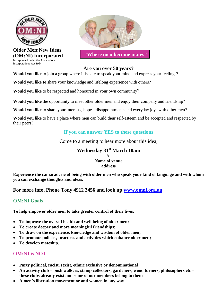

**Older Men:New Ideas (OM:NI) Incorporated** Incorporated under the Associations Incorporations Act 1984



**"Where men become mates"**

#### **Are you over 50 years?**

**Would you like** to join a group where it is safe to speak your mind and express your feelings?

**Would you like to** share your knowledge and lifelong experience with others?

**Would you like** to be respected and honoured in your own community?

**Would you like** the opportunity to meet other older men and enjoy their company and friendship?

**Would you like** to share your interests, hopes, disappointments and everyday joys with other men?

**Would you like** to have a place where men can build their self-esteem and be accepted and respected by their peers?

# **If you can answer YES to these questions**

Come to a meeting to hear more about this idea,

## **Wednesday 31st March 10am** At **Name of venue address**

**Experience the camaraderie of being with older men who speak your kind of language and with whom you can exchange thoughts and ideas.**

**For more info, Phone Tony 4912 3456 and look up [www.omni.org.au](http://www.omni.org.au/)**

# **OM:NI Goals**

**To help empower older men to take greater control of their lives:**

- **To improve the overall health and well being of older men;**
- **To create deeper and more meaningful friendships;**
- **To draw on the experience, knowledge and wisdom of older men;**
- **To promote policies, practices and activities which enhance older men;**
- **To develop mateship.**

# **OM:NI is NOT**

- **Party political, racist, sexist, ethnic exclusive or denominational**
- **An activity club bush walkers, stamp collectors, gardeners, wood turners, philosophers etc – these clubs already exist and some of our members belong to them**
- **A men's liberation movement or anti women in any way**